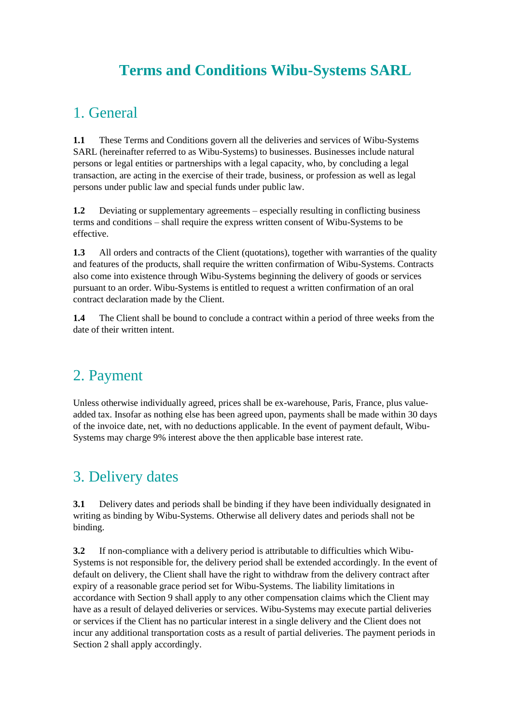# **Terms and Conditions Wibu-Systems SARL**

#### 1. General

**1.1** These Terms and Conditions govern all the deliveries and services of Wibu-Systems SARL (hereinafter referred to as Wibu-Systems) to businesses. Businesses include natural persons or legal entities or partnerships with a legal capacity, who, by concluding a legal transaction, are acting in the exercise of their trade, business, or profession as well as legal persons under public law and special funds under public law.

**1.2** Deviating or supplementary agreements – especially resulting in conflicting business terms and conditions – shall require the express written consent of Wibu-Systems to be effective.

**1.3** All orders and contracts of the Client (quotations), together with warranties of the quality and features of the products, shall require the written confirmation of Wibu-Systems. Contracts also come into existence through Wibu-Systems beginning the delivery of goods or services pursuant to an order. Wibu-Systems is entitled to request a written confirmation of an oral contract declaration made by the Client.

**1.4** The Client shall be bound to conclude a contract within a period of three weeks from the date of their written intent.

#### 2. Payment

Unless otherwise individually agreed, prices shall be ex-warehouse, Paris, France, plus valueadded tax. Insofar as nothing else has been agreed upon, payments shall be made within 30 days of the invoice date, net, with no deductions applicable. In the event of payment default, Wibu-Systems may charge 9% interest above the then applicable base interest rate.

# 3. Delivery dates

**3.1** Delivery dates and periods shall be binding if they have been individually designated in writing as binding by Wibu-Systems. Otherwise all delivery dates and periods shall not be binding.

**3.2** If non-compliance with a delivery period is attributable to difficulties which Wibu-Systems is not responsible for, the delivery period shall be extended accordingly. In the event of default on delivery, the Client shall have the right to withdraw from the delivery contract after expiry of a reasonable grace period set for Wibu-Systems. The liability limitations in accordance with Section 9 shall apply to any other compensation claims which the Client may have as a result of delayed deliveries or services. Wibu-Systems may execute partial deliveries or services if the Client has no particular interest in a single delivery and the Client does not incur any additional transportation costs as a result of partial deliveries. The payment periods in Section 2 shall apply accordingly.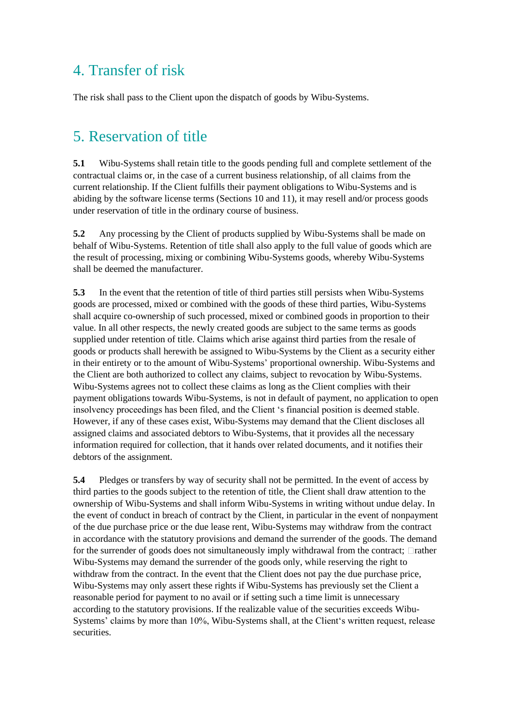#### 4. Transfer of risk

The risk shall pass to the Client upon the dispatch of goods by Wibu-Systems.

### 5. Reservation of title

**5.1** Wibu-Systems shall retain title to the goods pending full and complete settlement of the contractual claims or, in the case of a current business relationship, of all claims from the current relationship. If the Client fulfills their payment obligations to Wibu-Systems and is abiding by the software license terms (Sections 10 and 11), it may resell and/or process goods under reservation of title in the ordinary course of business.

**5.2** Any processing by the Client of products supplied by Wibu-Systems shall be made on behalf of Wibu-Systems. Retention of title shall also apply to the full value of goods which are the result of processing, mixing or combining Wibu-Systems goods, whereby Wibu-Systems shall be deemed the manufacturer.

**5.3** In the event that the retention of title of third parties still persists when Wibu-Systems goods are processed, mixed or combined with the goods of these third parties, Wibu-Systems shall acquire co-ownership of such processed, mixed or combined goods in proportion to their value. In all other respects, the newly created goods are subject to the same terms as goods supplied under retention of title. Claims which arise against third parties from the resale of goods or products shall herewith be assigned to Wibu-Systems by the Client as a security either in their entirety or to the amount of Wibu-Systems' proportional ownership. Wibu-Systems and the Client are both authorized to collect any claims, subject to revocation by Wibu-Systems. Wibu-Systems agrees not to collect these claims as long as the Client complies with their payment obligations towards Wibu-Systems, is not in default of payment, no application to open insolvency proceedings has been filed, and the Client 's financial position is deemed stable. However, if any of these cases exist, Wibu-Systems may demand that the Client discloses all assigned claims and associated debtors to Wibu-Systems, that it provides all the necessary information required for collection, that it hands over related documents, and it notifies their debtors of the assignment.

**5.4** Pledges or transfers by way of security shall not be permitted. In the event of access by third parties to the goods subject to the retention of title, the Client shall draw attention to the ownership of Wibu-Systems and shall inform Wibu-Systems in writing without undue delay. In the event of conduct in breach of contract by the Client, in particular in the event of nonpayment of the due purchase price or the due lease rent, Wibu-Systems may withdraw from the contract in accordance with the statutory provisions and demand the surrender of the goods. The demand for the surrender of goods does not simultaneously imply withdrawal from the contract;  $\Box$  rather Wibu-Systems may demand the surrender of the goods only, while reserving the right to withdraw from the contract. In the event that the Client does not pay the due purchase price, Wibu-Systems may only assert these rights if Wibu-Systems has previously set the Client a reasonable period for payment to no avail or if setting such a time limit is unnecessary according to the statutory provisions. If the realizable value of the securities exceeds Wibu-Systems' claims by more than 10%, Wibu-Systems shall, at the Client's written request, release securities.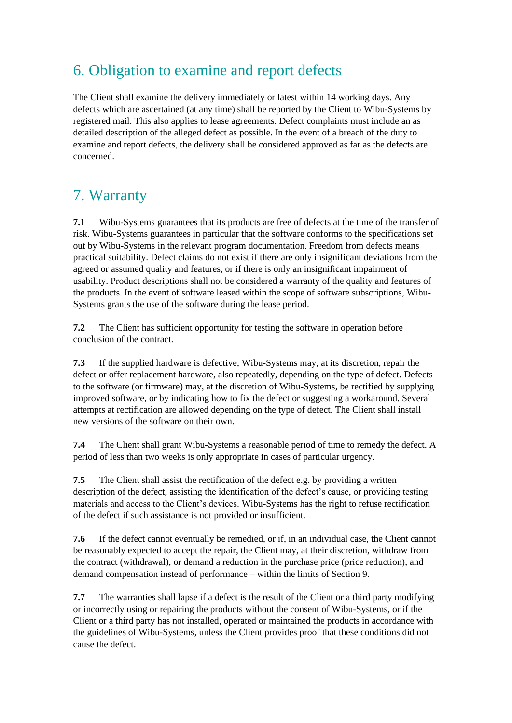## 6. Obligation to examine and report defects

The Client shall examine the delivery immediately or latest within 14 working days. Any defects which are ascertained (at any time) shall be reported by the Client to Wibu-Systems by registered mail. This also applies to lease agreements. Defect complaints must include an as detailed description of the alleged defect as possible. In the event of a breach of the duty to examine and report defects, the delivery shall be considered approved as far as the defects are concerned.

# 7. Warranty

**7.1** Wibu-Systems guarantees that its products are free of defects at the time of the transfer of risk. Wibu-Systems guarantees in particular that the software conforms to the specifications set out by Wibu-Systems in the relevant program documentation. Freedom from defects means practical suitability. Defect claims do not exist if there are only insignificant deviations from the agreed or assumed quality and features, or if there is only an insignificant impairment of usability. Product descriptions shall not be considered a warranty of the quality and features of the products. In the event of software leased within the scope of software subscriptions, Wibu-Systems grants the use of the software during the lease period.

**7.2** The Client has sufficient opportunity for testing the software in operation before conclusion of the contract.

**7.3** If the supplied hardware is defective, Wibu-Systems may, at its discretion, repair the defect or offer replacement hardware, also repeatedly, depending on the type of defect. Defects to the software (or firmware) may, at the discretion of Wibu-Systems, be rectified by supplying improved software, or by indicating how to fix the defect or suggesting a workaround. Several attempts at rectification are allowed depending on the type of defect. The Client shall install new versions of the software on their own.

**7.4** The Client shall grant Wibu-Systems a reasonable period of time to remedy the defect. A period of less than two weeks is only appropriate in cases of particular urgency.

**7.5** The Client shall assist the rectification of the defect e.g. by providing a written description of the defect, assisting the identification of the defect's cause, or providing testing materials and access to the Client's devices. Wibu-Systems has the right to refuse rectification of the defect if such assistance is not provided or insufficient.

**7.6** If the defect cannot eventually be remedied, or if, in an individual case, the Client cannot be reasonably expected to accept the repair, the Client may, at their discretion, withdraw from the contract (withdrawal), or demand a reduction in the purchase price (price reduction), and demand compensation instead of performance – within the limits of Section 9.

**7.7** The warranties shall lapse if a defect is the result of the Client or a third party modifying or incorrectly using or repairing the products without the consent of Wibu-Systems, or if the Client or a third party has not installed, operated or maintained the products in accordance with the guidelines of Wibu-Systems, unless the Client provides proof that these conditions did not cause the defect.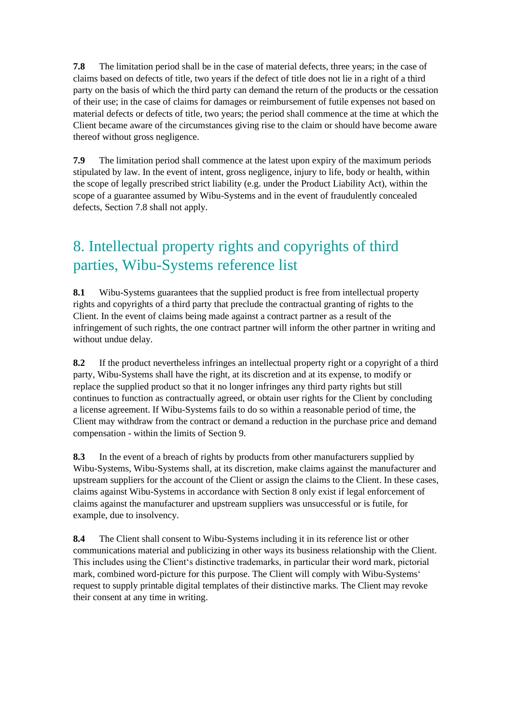**7.8** The limitation period shall be in the case of material defects, three years; in the case of claims based on defects of title, two years if the defect of title does not lie in a right of a third party on the basis of which the third party can demand the return of the products or the cessation of their use; in the case of claims for damages or reimbursement of futile expenses not based on material defects or defects of title, two years; the period shall commence at the time at which the Client became aware of the circumstances giving rise to the claim or should have become aware thereof without gross negligence.

**7.9** The limitation period shall commence at the latest upon expiry of the maximum periods stipulated by law. In the event of intent, gross negligence, injury to life, body or health, within the scope of legally prescribed strict liability (e.g. under the Product Liability Act), within the scope of a guarantee assumed by Wibu-Systems and in the event of fraudulently concealed defects, Section 7.8 shall not apply.

# 8. Intellectual property rights and copyrights of third parties, Wibu-Systems reference list

**8.1** Wibu-Systems guarantees that the supplied product is free from intellectual property rights and copyrights of a third party that preclude the contractual granting of rights to the Client. In the event of claims being made against a contract partner as a result of the infringement of such rights, the one contract partner will inform the other partner in writing and without undue delay.

**8.2** If the product nevertheless infringes an intellectual property right or a copyright of a third party, Wibu-Systems shall have the right, at its discretion and at its expense, to modify or replace the supplied product so that it no longer infringes any third party rights but still continues to function as contractually agreed, or obtain user rights for the Client by concluding a license agreement. If Wibu-Systems fails to do so within a reasonable period of time, the Client may withdraw from the contract or demand a reduction in the purchase price and demand compensation - within the limits of Section 9.

**8.3** In the event of a breach of rights by products from other manufacturers supplied by Wibu-Systems, Wibu-Systems shall, at its discretion, make claims against the manufacturer and upstream suppliers for the account of the Client or assign the claims to the Client. In these cases, claims against Wibu-Systems in accordance with Section 8 only exist if legal enforcement of claims against the manufacturer and upstream suppliers was unsuccessful or is futile, for example, due to insolvency.

**8.4** The Client shall consent to Wibu-Systems including it in its reference list or other communications material and publicizing in other ways its business relationship with the Client. This includes using the Client's distinctive trademarks, in particular their word mark, pictorial mark, combined word-picture for this purpose. The Client will comply with Wibu-Systems' request to supply printable digital templates of their distinctive marks. The Client may revoke their consent at any time in writing.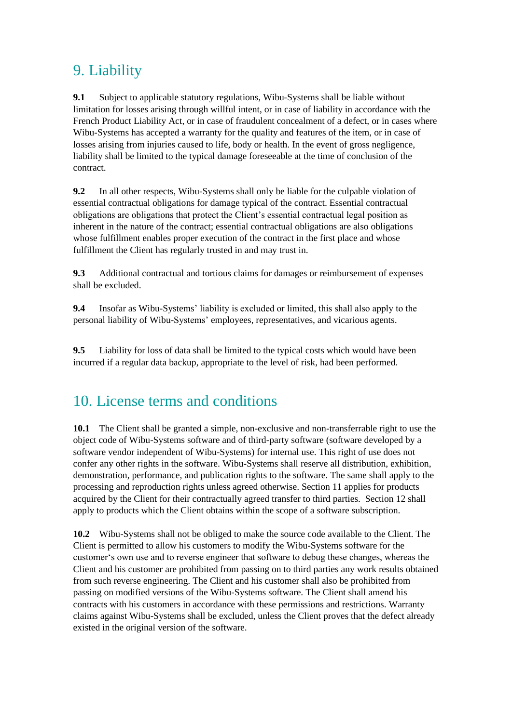### 9. Liability

**9.1** Subject to applicable statutory regulations, Wibu-Systems shall be liable without limitation for losses arising through willful intent, or in case of liability in accordance with the French Product Liability Act, or in case of fraudulent concealment of a defect, or in cases where Wibu-Systems has accepted a warranty for the quality and features of the item, or in case of losses arising from injuries caused to life, body or health. In the event of gross negligence, liability shall be limited to the typical damage foreseeable at the time of conclusion of the contract.

**9.2** In all other respects, Wibu-Systems shall only be liable for the culpable violation of essential contractual obligations for damage typical of the contract. Essential contractual obligations are obligations that protect the Client's essential contractual legal position as inherent in the nature of the contract; essential contractual obligations are also obligations whose fulfillment enables proper execution of the contract in the first place and whose fulfillment the Client has regularly trusted in and may trust in.

**9.3** Additional contractual and tortious claims for damages or reimbursement of expenses shall be excluded.

**9.4** Insofar as Wibu-Systems' liability is excluded or limited, this shall also apply to the personal liability of Wibu-Systems' employees, representatives, and vicarious agents.

**9.5** Liability for loss of data shall be limited to the typical costs which would have been incurred if a regular data backup, appropriate to the level of risk, had been performed.

### 10. License terms and conditions

**10.1** The Client shall be granted a simple, non-exclusive and non-transferrable right to use the object code of Wibu-Systems software and of third-party software (software developed by a software vendor independent of Wibu-Systems) for internal use. This right of use does not confer any other rights in the software. Wibu-Systems shall reserve all distribution, exhibition, demonstration, performance, and publication rights to the software. The same shall apply to the processing and reproduction rights unless agreed otherwise. Section 11 applies for products acquired by the Client for their contractually agreed transfer to third parties. Section 12 shall apply to products which the Client obtains within the scope of a software subscription.

**10.2** Wibu-Systems shall not be obliged to make the source code available to the Client. The Client is permitted to allow his customers to modify the Wibu-Systems software for the customer's own use and to reverse engineer that software to debug these changes, whereas the Client and his customer are prohibited from passing on to third parties any work results obtained from such reverse engineering. The Client and his customer shall also be prohibited from passing on modified versions of the Wibu-Systems software. The Client shall amend his contracts with his customers in accordance with these permissions and restrictions. Warranty claims against Wibu-Systems shall be excluded, unless the Client proves that the defect already existed in the original version of the software.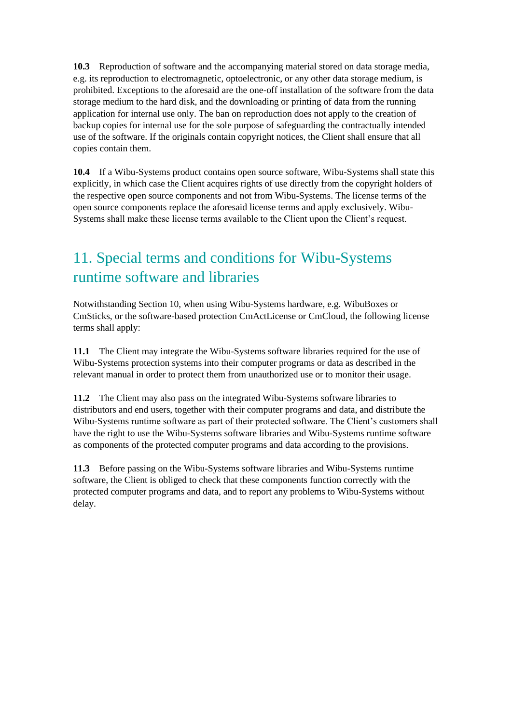**10.3** Reproduction of software and the accompanying material stored on data storage media, e.g. its reproduction to electromagnetic, optoelectronic, or any other data storage medium, is prohibited. Exceptions to the aforesaid are the one-off installation of the software from the data storage medium to the hard disk, and the downloading or printing of data from the running application for internal use only. The ban on reproduction does not apply to the creation of backup copies for internal use for the sole purpose of safeguarding the contractually intended use of the software. If the originals contain copyright notices, the Client shall ensure that all copies contain them.

**10.4** If a Wibu-Systems product contains open source software, Wibu-Systems shall state this explicitly, in which case the Client acquires rights of use directly from the copyright holders of the respective open source components and not from Wibu-Systems. The license terms of the open source components replace the aforesaid license terms and apply exclusively. Wibu-Systems shall make these license terms available to the Client upon the Client's request.

# 11. Special terms and conditions for Wibu-Systems runtime software and libraries

Notwithstanding Section 10, when using Wibu-Systems hardware, e.g. WibuBoxes or CmSticks, or the software-based protection CmActLicense or CmCloud, the following license terms shall apply:

**11.1** The Client may integrate the Wibu-Systems software libraries required for the use of Wibu-Systems protection systems into their computer programs or data as described in the relevant manual in order to protect them from unauthorized use or to monitor their usage.

**11.2** The Client may also pass on the integrated Wibu-Systems software libraries to distributors and end users, together with their computer programs and data, and distribute the Wibu-Systems runtime software as part of their protected software. The Client's customers shall have the right to use the Wibu-Systems software libraries and Wibu-Systems runtime software as components of the protected computer programs and data according to the provisions.

**11.3** Before passing on the Wibu-Systems software libraries and Wibu-Systems runtime software, the Client is obliged to check that these components function correctly with the protected computer programs and data, and to report any problems to Wibu-Systems without delay.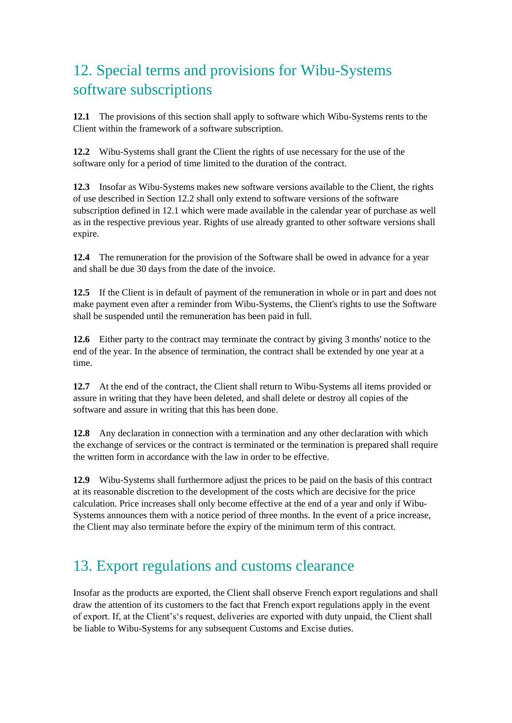# 12. Special terms and provisions for Wibu-Systems software subscriptions

**12.1** The provisions of this section shall apply to software which Wibu-Systems rents to the Client within the framework of a software subscription.

**12.2** Wibu-Systems shall grant the Client the rights of use necessary for the use of the software only for a period of time limited to the duration of the contract.

**12.3** Insofar as Wibu-Systems makes new software versions available to the Client, the rights of use described in Section 12.2 shall only extend to software versions of the software subscription defined in 12.1 which were made available in the calendar year of purchase as well as in the respective previous year. Rights of use already granted to other software versions shall expire.

**12.4** The remuneration for the provision of the Software shall be owed in advance for a year and shall be due 30 days from the date of the invoice.

**12.5** If the Client is in default of payment of the remuneration in whole or in part and does not make payment even after a reminder from Wibu-Systems, the Client's rights to use the Software shall be suspended until the remuneration has been paid in full.

**12.6** Either party to the contract may terminate the contract by giving 3 months' notice to the end of the year. In the absence of termination, the contract shall be extended by one year at a time.

**12.7** At the end of the contract, the Client shall return to Wibu-Systems all items provided or assure in writing that they have been deleted, and shall delete or destroy all copies of the software and assure in writing that this has been done.

**12.8** Any declaration in connection with a termination and any other declaration with which the exchange of services or the contract is terminated or the termination is prepared shall require the written form in accordance with the law in order to be effective.

**12.9** Wibu-Systems shall furthermore adjust the prices to be paid on the basis of this contract at its reasonable discretion to the development of the costs which are decisive for the price calculation. Price increases shall only become effective at the end of a year and only if Wibu-Systems announces them with a notice period of three months. In the event of a price increase, the Client may also terminate before the expiry of the minimum term of this contract.

# 13. Export regulations and customs clearance

Insofar as the products are exported, the Client shall observe French export regulations and shall draw the attention of its customers to the fact that French export regulations apply in the event of export. If, at the Client's's request, deliveries are exported with duty unpaid, the Client shall be liable to Wibu-Systems for any subsequent Customs and Excise duties.